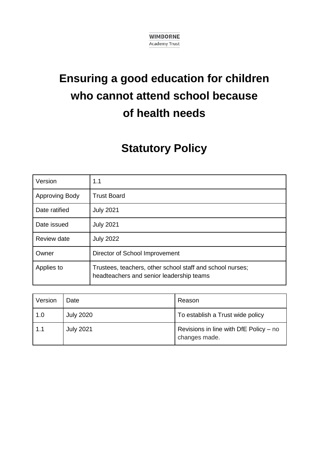

# **Ensuring a good education for children who cannot attend school because of health needs**

# **Statutory Policy**

| Version        | 1.1                                                                                                   |  |
|----------------|-------------------------------------------------------------------------------------------------------|--|
| Approving Body | <b>Trust Board</b>                                                                                    |  |
| Date ratified  | <b>July 2021</b>                                                                                      |  |
| Date issued    | <b>July 2021</b>                                                                                      |  |
| Review date    | <b>July 2022</b>                                                                                      |  |
| Owner          | Director of School Improvement                                                                        |  |
| Applies to     | Trustees, teachers, other school staff and school nurses;<br>headteachers and senior leadership teams |  |

| Version | Date             | Reason                                                  |
|---------|------------------|---------------------------------------------------------|
| 1.0     | <b>July 2020</b> | To establish a Trust wide policy                        |
| 1.1     | <b>July 2021</b> | Revisions in line with DfE Policy - no<br>changes made. |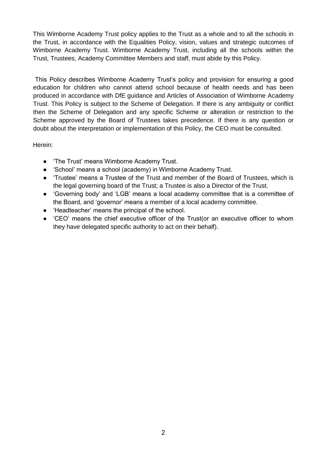This Wimborne Academy Trust policy applies to the Trust as a whole and to all the schools in the Trust, in accordance with the Equalities Policy, vision, values and strategic outcomes of Wimborne Academy Trust. Wimborne Academy Trust, including all the schools within the Trust, Trustees, Academy Committee Members and staff, must abide by this Policy.

This Policy describes Wimborne Academy Trust's policy and provision for ensuring a good education for children who cannot attend school because of health needs and has been produced in accordance with DfE guidance and Articles of Association of Wimborne Academy Trust. This Policy is subject to the Scheme of Delegation. If there is any ambiguity or conflict then the Scheme of Delegation and any specific Scheme or alteration or restriction to the Scheme approved by the Board of Trustees takes precedence. If there is any question or doubt about the interpretation or implementation of this Policy, the CEO must be consulted.

Herein:

- 'The Trust' means Wimborne Academy Trust.
- 'School' means a school (academy) in Wimborne Academy Trust.
- 'Trustee' means a Trustee of the Trust and member of the Board of Trustees, which is the legal governing board of the Trust; a Trustee is also a Director of the Trust.
- 'Governing body' and 'LGB' means a local academy committee that is a committee of the Board, and 'governor' means a member of a local academy committee.
- 'Headteacher' means the principal of the school.
- 'CEO' means the chief executive officer of the Trust(or an executive officer to whom they have delegated specific authority to act on their behalf).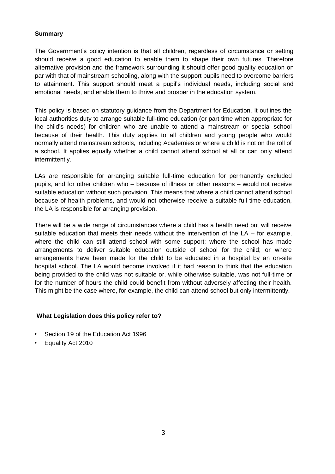#### **Summary**

The Government's policy intention is that all children, regardless of circumstance or setting should receive a good education to enable them to shape their own futures. Therefore alternative provision and the framework surrounding it should offer good quality education on par with that of mainstream schooling, along with the support pupils need to overcome barriers to attainment. This support should meet a pupil's individual needs, including social and emotional needs, and enable them to thrive and prosper in the education system.

This policy is based on statutory guidance from the Department for Education. It outlines the local authorities duty to arrange suitable full-time education (or part time when appropriate for the child's needs) for children who are unable to attend a mainstream or special school because of their health. This duty applies to all children and young people who would normally attend mainstream schools, including Academies or where a child is not on the roll of a school. It applies equally whether a child cannot attend school at all or can only attend intermittently.

LAs are responsible for arranging suitable full-time education for permanently excluded pupils, and for other children who – because of illness or other reasons – would not receive suitable education without such provision. This means that where a child cannot attend school because of health problems, and would not otherwise receive a suitable full-time education, the LA is responsible for arranging provision.

There will be a wide range of circumstances where a child has a health need but will receive suitable education that meets their needs without the intervention of the  $LA -$  for example, where the child can still attend school with some support; where the school has made arrangements to deliver suitable education outside of school for the child; or where arrangements have been made for the child to be educated in a hospital by an on-site hospital school. The LA would become involved if it had reason to think that the education being provided to the child was not suitable or, while otherwise suitable, was not full-time or for the number of hours the child could benefit from without adversely affecting their health. This might be the case where, for example, the child can attend school but only intermittently.

# **What Legislation does this policy refer to?**

- Section 19 of the Education Act 1996
- Equality Act 2010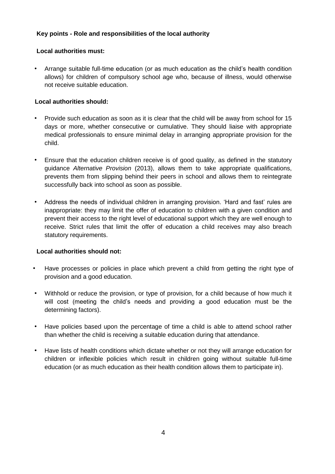# **Key points - Role and responsibilities of the local authority**

# **Local authorities must:**

• Arrange suitable full-time education (or as much education as the child's health condition allows) for children of compulsory school age who, because of illness, would otherwise not receive suitable education.

# **Local authorities should:**

- Provide such education as soon as it is clear that the child will be away from school for 15 days or more, whether consecutive or cumulative. They should liaise with appropriate medical professionals to ensure minimal delay in arranging appropriate provision for the child.
- Ensure that the education children receive is of good quality, as defined in the statutory guidance *Alternative Provision* (2013), allows them to take appropriate qualifications, prevents them from slipping behind their peers in school and allows them to reintegrate successfully back into school as soon as possible.
- Address the needs of individual children in arranging provision. 'Hard and fast' rules are inappropriate: they may limit the offer of education to children with a given condition and prevent their access to the right level of educational support which they are well enough to receive. Strict rules that limit the offer of education a child receives may also breach statutory requirements.

# **Local authorities should not:**

- Have processes or policies in place which prevent a child from getting the right type of provision and a good education.
- Withhold or reduce the provision, or type of provision, for a child because of how much it will cost (meeting the child's needs and providing a good education must be the determining factors).
- Have policies based upon the percentage of time a child is able to attend school rather than whether the child is receiving a suitable education during that attendance.
- Have lists of health conditions which dictate whether or not they will arrange education for children or inflexible policies which result in children going without suitable full-time education (or as much education as their health condition allows them to participate in).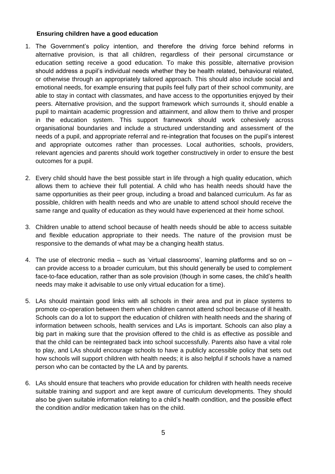#### **Ensuring children have a good education**

- 1. The Government's policy intention, and therefore the driving force behind reforms in alternative provision, is that all children, regardless of their personal circumstance or education setting receive a good education. To make this possible, alternative provision should address a pupil's individual needs whether they be health related, behavioural related, or otherwise through an appropriately tailored approach. This should also include social and emotional needs, for example ensuring that pupils feel fully part of their school community, are able to stay in contact with classmates, and have access to the opportunities enjoyed by their peers. Alternative provision, and the support framework which surrounds it, should enable a pupil to maintain academic progression and attainment, and allow them to thrive and prosper in the education system. This support framework should work cohesively across organisational boundaries and include a structured understanding and assessment of the needs of a pupil, and appropriate referral and re-integration that focuses on the pupil's interest and appropriate outcomes rather than processes. Local authorities, schools, providers, relevant agencies and parents should work together constructively in order to ensure the best outcomes for a pupil.
- 2. Every child should have the best possible start in life through a high quality education, which allows them to achieve their full potential. A child who has health needs should have the same opportunities as their peer group, including a broad and balanced curriculum. As far as possible, children with health needs and who are unable to attend school should receive the same range and quality of education as they would have experienced at their home school.
- 3. Children unable to attend school because of health needs should be able to access suitable and flexible education appropriate to their needs. The nature of the provision must be responsive to the demands of what may be a changing health status.
- 4. The use of electronic media such as 'virtual classrooms', learning platforms and so on can provide access to a broader curriculum, but this should generally be used to complement face-to-face education, rather than as sole provision (though in some cases, the child's health needs may make it advisable to use only virtual education for a time).
- 5. LAs should maintain good links with all schools in their area and put in place systems to promote co-operation between them when children cannot attend school because of ill health. Schools can do a lot to support the education of children with health needs and the sharing of information between schools, health services and LAs is important. Schools can also play a big part in making sure that the provision offered to the child is as effective as possible and that the child can be reintegrated back into school successfully. Parents also have a vital role to play, and LAs should encourage schools to have a publicly accessible policy that sets out how schools will support children with health needs; it is also helpful if schools have a named person who can be contacted by the LA and by parents.
- 6. LAs should ensure that teachers who provide education for children with health needs receive suitable training and support and are kept aware of curriculum developments. They should also be given suitable information relating to a child's health condition, and the possible effect the condition and/or medication taken has on the child.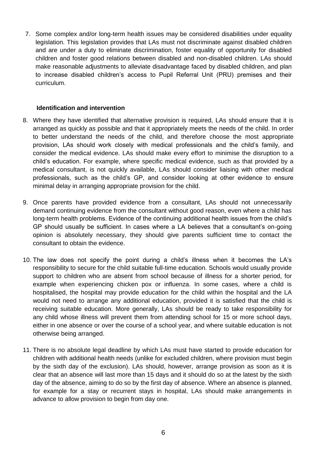7. Some complex and/or long-term health issues may be considered disabilities under equality legislation. This legislation provides that LAs must not discriminate against disabled children and are under a duty to eliminate discrimination, foster equality of opportunity for disabled children and foster good relations between disabled and non-disabled children. LAs should make reasonable adjustments to alleviate disadvantage faced by disabled children, and plan to increase disabled children's access to Pupil Referral Unit (PRU) premises and their curriculum.

#### **Identification and intervention**

- 8. Where they have identified that alternative provision is required, LAs should ensure that it is arranged as quickly as possible and that it appropriately meets the needs of the child. In order to better understand the needs of the child, and therefore choose the most appropriate provision, LAs should work closely with medical professionals and the child's family, and consider the medical evidence. LAs should make every effort to minimise the disruption to a child's education. For example, where specific medical evidence, such as that provided by a medical consultant, is not quickly available, LAs should consider liaising with other medical professionals, such as the child's GP, and consider looking at other evidence to ensure minimal delay in arranging appropriate provision for the child.
- 9. Once parents have provided evidence from a consultant, LAs should not unnecessarily demand continuing evidence from the consultant without good reason, even where a child has long-term health problems. Evidence of the continuing additional health issues from the child's GP should usually be sufficient. In cases where a LA believes that a consultant's on-going opinion is absolutely necessary, they should give parents sufficient time to contact the consultant to obtain the evidence.
- 10. The law does not specify the point during a child's illness when it becomes the LA's responsibility to secure for the child suitable full-time education. Schools would usually provide support to children who are absent from school because of illness for a shorter period, for example when experiencing chicken pox or influenza. In some cases, where a child is hospitalised, the hospital may provide education for the child within the hospital and the LA would not need to arrange any additional education, provided it is satisfied that the child is receiving suitable education. More generally, LAs should be ready to take responsibility for any child whose illness will prevent them from attending school for 15 or more school days, either in one absence or over the course of a school year, and where suitable education is not otherwise being arranged.
- 11. There is no absolute legal deadline by which LAs must have started to provide education for children with additional health needs (unlike for excluded children, where provision must begin by the sixth day of the exclusion). LAs should, however, arrange provision as soon as it is clear that an absence will last more than 15 days and it should do so at the latest by the sixth day of the absence, aiming to do so by the first day of absence. Where an absence is planned, for example for a stay or recurrent stays in hospital, LAs should make arrangements in advance to allow provision to begin from day one.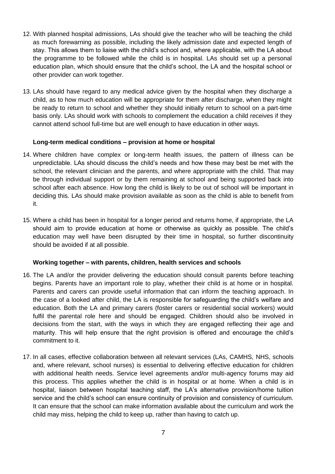- 12. With planned hospital admissions, LAs should give the teacher who will be teaching the child as much forewarning as possible, including the likely admission date and expected length of stay. This allows them to liaise with the child's school and, where applicable, with the LA about the programme to be followed while the child is in hospital. LAs should set up a personal education plan, which should ensure that the child's school, the LA and the hospital school or other provider can work together.
- 13. LAs should have regard to any medical advice given by the hospital when they discharge a child, as to how much education will be appropriate for them after discharge, when they might be ready to return to school and whether they should initially return to school on a part-time basis only. LAs should work with schools to complement the education a child receives if they cannot attend school full-time but are well enough to have education in other ways.

#### **Long-term medical conditions – provision at home or hospital**

- 14. Where children have complex or long-term health issues, the pattern of illness can be unpredictable. LAs should discuss the child's needs and how these may best be met with the school, the relevant clinician and the parents, and where appropriate with the child. That may be through individual support or by them remaining at school and being supported back into school after each absence. How long the child is likely to be out of school will be important in deciding this. LAs should make provision available as soon as the child is able to benefit from it.
- 15. Where a child has been in hospital for a longer period and returns home, if appropriate, the LA should aim to provide education at home or otherwise as quickly as possible. The child's education may well have been disrupted by their time in hospital, so further discontinuity should be avoided if at all possible.

#### **Working together – with parents, children, health services and schools**

- 16. The LA and/or the provider delivering the education should consult parents before teaching begins. Parents have an important role to play, whether their child is at home or in hospital. Parents and carers can provide useful information that can inform the teaching approach. In the case of a looked after child, the LA is responsible for safeguarding the child's welfare and education. Both the LA and primary carers (foster carers or residential social workers) would fulfil the parental role here and should be engaged. Children should also be involved in decisions from the start, with the ways in which they are engaged reflecting their age and maturity. This will help ensure that the right provision is offered and encourage the child's commitment to it.
- 17. In all cases, effective collaboration between all relevant services (LAs, CAMHS, NHS, schools and, where relevant, school nurses) is essential to delivering effective education for children with additional health needs. Service level agreements and/or multi-agency forums may aid this process. This applies whether the child is in hospital or at home. When a child is in hospital, liaison between hospital teaching staff, the LA's alternative provision/home tuition service and the child's school can ensure continuity of provision and consistency of curriculum. It can ensure that the school can make information available about the curriculum and work the child may miss, helping the child to keep up, rather than having to catch up.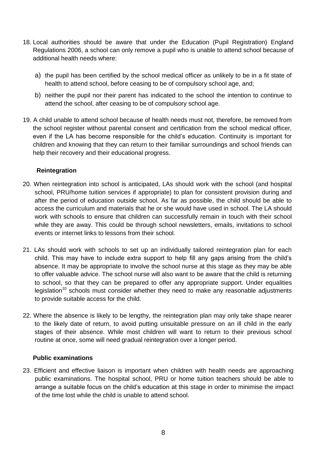- 18. Local authorities should be aware that under the Education (Pupil Registration) England Regulations 2006, a school can only remove a pupil who is unable to attend school because of additional health needs where:
	- a) the pupil has been certified by the school medical officer as unlikely to be in a fit state of health to attend school, before ceasing to be of compulsory school age, and;
	- b) neither the pupil nor their parent has indicated to the school the intention to continue to attend the school, after ceasing to be of compulsory school age.
- 19. A child unable to attend school because of health needs must not, therefore, be removed from the school register without parental consent and certification from the school medical officer, even if the LA has become responsible for the child's education. Continuity is important for children and knowing that they can return to their familiar surroundings and school friends can help their recovery and their educational progress.

# **Reintegration**

- 20. When reintegration into school is anticipated, LAs should work with the school (and hospital school, PRU/home tuition services if appropriate) to plan for consistent provision during and after the period of education outside school. As far as possible, the child should be able to access the curriculum and materials that he or she would have used in school. The LA should work with schools to ensure that children can successfully remain in touch with their school while they are away. This could be through school newsletters, emails, invitations to school events or internet links to lessons from their school.
- 21. LAs should work with schools to set up an individually tailored reintegration plan for each child. This may have to include extra support to help fill any gaps arising from the child's absence. It may be appropriate to involve the school nurse at this stage as they may be able to offer valuable advice. The school nurse will also want to be aware that the child is returning to school, so that they can be prepared to offer any appropriate support. Under equalities legislation<sup>10</sup> schools must consider whether they need to make any reasonable adjustments to provide suitable access for the child.
- 22. Where the absence is likely to be lengthy, the reintegration plan may only take shape nearer to the likely date of return, to avoid putting unsuitable pressure on an ill child in the early stages of their absence. While most children will want to return to their previous school routine at once, some will need gradual reintegration over a longer period.

#### **Public examinations**

23. Efficient and effective liaison is important when children with health needs are approaching public examinations. The hospital school, PRU or home tuition teachers should be able to arrange a suitable focus on the child's education at this stage in order to minimise the impact of the time lost while the child is unable to attend school.